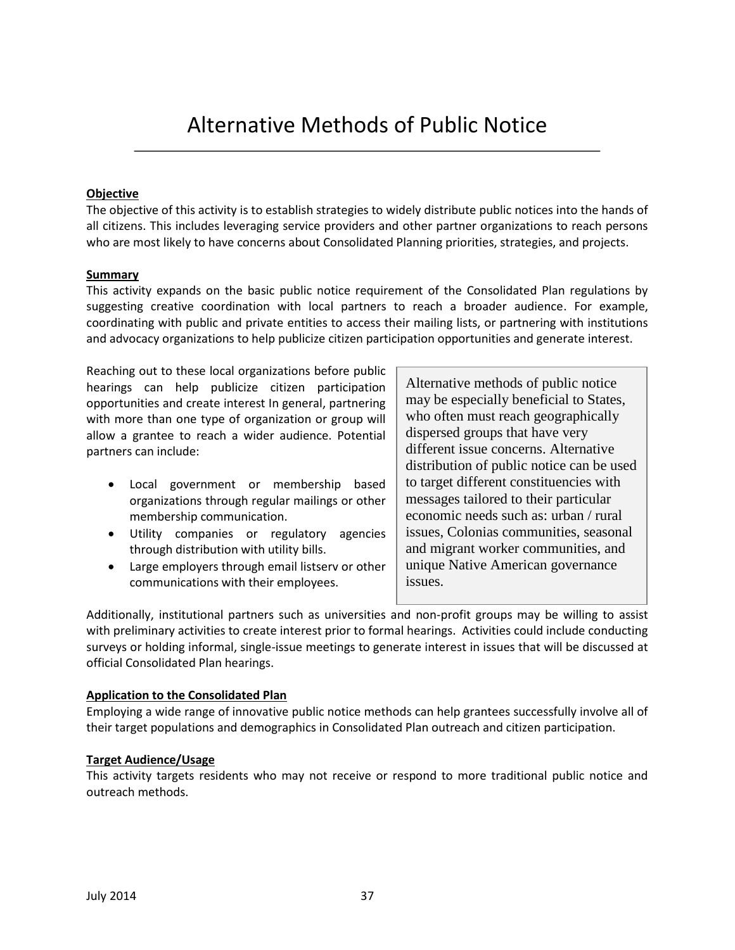# Alternative Methods of Public Notice

## **Objective**

The objective of this activity is to establish strategies to widely distribute public notices into the hands of all citizens. This includes leveraging service providers and other partner organizations to reach persons who are most likely to have concerns about Consolidated Planning priorities, strategies, and projects.

#### **Summary**

This activity expands on the basic public notice requirement of the Consolidated Plan regulations by suggesting creative coordination with local partners to reach a broader audience. For example, coordinating with public and private entities to access their mailing lists, or partnering with institutions and advocacy organizations to help publicize citizen participation opportunities and generate interest.

Reaching out to these local organizations before public hearings can help publicize citizen participation opportunities and create interest In general, partnering with more than one type of organization or group will allow a grantee to reach a wider audience. Potential partners can include:

- Local government or membership based organizations through regular mailings or other membership communication.
- Utility companies or regulatory agencies through distribution with utility bills.
- Large employers through email listserv or other communications with their employees.

Alternative methods of public notice may be especially beneficial to States, who often must reach geographically dispersed groups that have very different issue concerns. Alternative distribution of public notice can be used to target different constituencies with messages tailored to their particular economic needs such as: urban / rural issues, Colonias communities, seasonal and migrant worker communities, and unique Native American governance issues.

Additionally, institutional partners such as universities and non-profit groups may be willing to assist with preliminary activities to create interest prior to formal hearings. Activities could include conducting surveys or holding informal, single-issue meetings to generate interest in issues that will be discussed at official Consolidated Plan hearings.

## **Application to the Consolidated Plan**

Employing a wide range of innovative public notice methods can help grantees successfully involve all of their target populations and demographics in Consolidated Plan outreach and citizen participation.

## **Target Audience/Usage**

This activity targets residents who may not receive or respond to more traditional public notice and outreach methods.